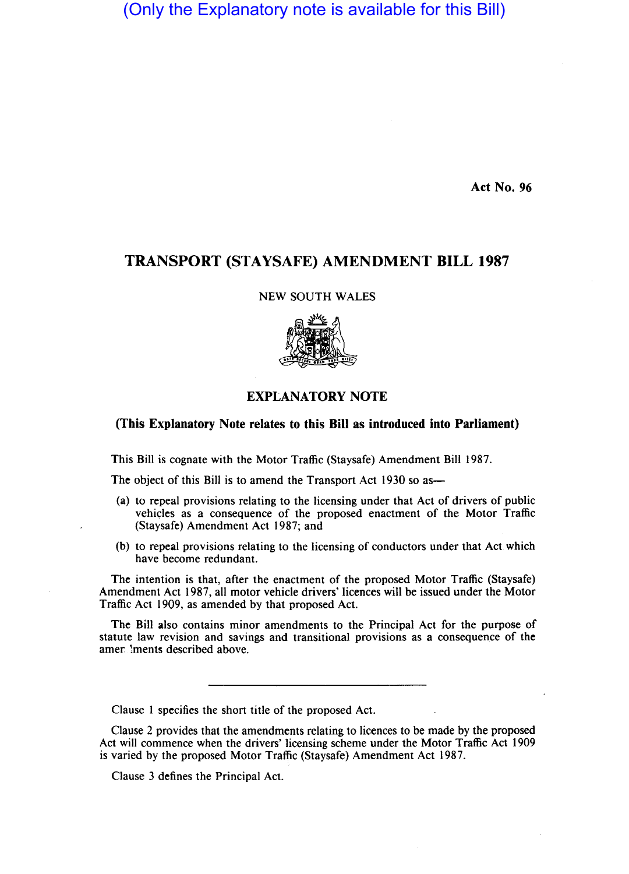# (Only the Explanatory note is available for this Bill)

Act No. 96

## TRANSPORT (STAYSAFE) AMENDMENT BILL 1987

NEW SOUTH WALES



### EXPLANATORY NOTE

#### (This Explanatory Note relates to this Bill as introduced into Parliament)

This Bill is cognate with the Motor Traffic (Staysafe) Amendment Bill 1987.

The object of this Bill is to amend the Transport Act 1930 so as—

- (a) to repeal provisions relating to the licensing under that Act of drivers of public vehicles as a consequence of the proposed enactment of the Motor Traffic (Staysafe) Amendment Act 1987; and
- (b) to repeal provisions relating to the licensing of conductors under that Act which have become redundant.

The intention is that, after the enactment of the proposed Motor Traffic (Staysafe) Amendment Act 1987, all motor vehicle drivers' licences will be issued under the Motor Traffic Act 1909, as amended by that proposed Act.

The Bill also contains minor amendments to the Principal Act for the purpose of statute law revision and savings and transitional provisions as a consequence of the amer !ments described above.

Clause 1 specifies the short title of the proposed Act.

Clause 2 provides that the amendments relating to licences to be made by the proposed Act wilI commence when the drivers' licensing scheme under the Motor Traffic Act 1909 is varied by the proposed Motor Traffic (Staysafe) Amendment Act 1987.

Clause 3 defines the Principal Act.